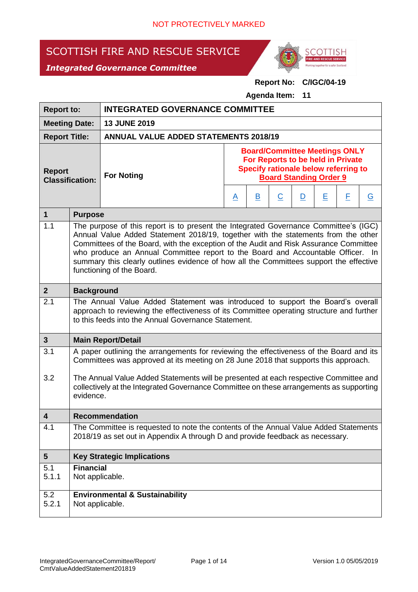# SCOTTISH FIRE AND RESCUE SERVICE





## **Report No: C/IGC/04-19**

**Agenda Item: 11**

| <b>Report to:</b>                       |                                                                                                                                                                                                                                                                                                                                                                                                                                                                              | <b>INTEGRATED GOVERNANCE COMMITTEE</b>                                                                                                                                                                                            |                                                                                                                                                    |                         |                |              |   |   |                |  |
|-----------------------------------------|------------------------------------------------------------------------------------------------------------------------------------------------------------------------------------------------------------------------------------------------------------------------------------------------------------------------------------------------------------------------------------------------------------------------------------------------------------------------------|-----------------------------------------------------------------------------------------------------------------------------------------------------------------------------------------------------------------------------------|----------------------------------------------------------------------------------------------------------------------------------------------------|-------------------------|----------------|--------------|---|---|----------------|--|
| <b>Meeting Date:</b>                    |                                                                                                                                                                                                                                                                                                                                                                                                                                                                              | <b>13 JUNE 2019</b>                                                                                                                                                                                                               |                                                                                                                                                    |                         |                |              |   |   |                |  |
| <b>Report Title:</b>                    |                                                                                                                                                                                                                                                                                                                                                                                                                                                                              | <b>ANNUAL VALUE ADDED STATEMENTS 2018/19</b>                                                                                                                                                                                      |                                                                                                                                                    |                         |                |              |   |   |                |  |
| <b>Report</b><br><b>Classification:</b> |                                                                                                                                                                                                                                                                                                                                                                                                                                                                              | <b>For Noting</b>                                                                                                                                                                                                                 | <b>Board/Committee Meetings ONLY</b><br>For Reports to be held in Private<br>Specify rationale below referring to<br><b>Board Standing Order 9</b> |                         |                |              |   |   |                |  |
|                                         |                                                                                                                                                                                                                                                                                                                                                                                                                                                                              |                                                                                                                                                                                                                                   | <u>A</u>                                                                                                                                           | $\overline{\mathbf{B}}$ | $\overline{C}$ | $\mathbf{D}$ | E | E | $\overline{G}$ |  |
| $\mathbf{1}$                            | <b>Purpose</b>                                                                                                                                                                                                                                                                                                                                                                                                                                                               |                                                                                                                                                                                                                                   |                                                                                                                                                    |                         |                |              |   |   |                |  |
| 1.1                                     | The purpose of this report is to present the Integrated Governance Committee's (IGC)<br>Annual Value Added Statement 2018/19, together with the statements from the other<br>Committees of the Board, with the exception of the Audit and Risk Assurance Committee<br>who produce an Annual Committee report to the Board and Accountable Officer. In<br>summary this clearly outlines evidence of how all the Committees support the effective<br>functioning of the Board. |                                                                                                                                                                                                                                   |                                                                                                                                                    |                         |                |              |   |   |                |  |
| 2 <sup>1</sup>                          | <b>Background</b>                                                                                                                                                                                                                                                                                                                                                                                                                                                            |                                                                                                                                                                                                                                   |                                                                                                                                                    |                         |                |              |   |   |                |  |
| 2.1                                     |                                                                                                                                                                                                                                                                                                                                                                                                                                                                              | The Annual Value Added Statement was introduced to support the Board's overall<br>approach to reviewing the effectiveness of its Committee operating structure and further<br>to this feeds into the Annual Governance Statement. |                                                                                                                                                    |                         |                |              |   |   |                |  |
| $\mathbf{3}$                            |                                                                                                                                                                                                                                                                                                                                                                                                                                                                              | <b>Main Report/Detail</b>                                                                                                                                                                                                         |                                                                                                                                                    |                         |                |              |   |   |                |  |
| 3.1                                     |                                                                                                                                                                                                                                                                                                                                                                                                                                                                              | A paper outlining the arrangements for reviewing the effectiveness of the Board and its<br>Committees was approved at its meeting on 28 June 2018 that supports this approach.                                                    |                                                                                                                                                    |                         |                |              |   |   |                |  |
| 3.2                                     |                                                                                                                                                                                                                                                                                                                                                                                                                                                                              | The Annual Value Added Statements will be presented at each respective Committee and<br>collectively at the Integrated Governance Committee on these arrangements as supporting<br>evidence.                                      |                                                                                                                                                    |                         |                |              |   |   |                |  |
| 4                                       |                                                                                                                                                                                                                                                                                                                                                                                                                                                                              | <b>Recommendation</b>                                                                                                                                                                                                             |                                                                                                                                                    |                         |                |              |   |   |                |  |
| 4.1                                     |                                                                                                                                                                                                                                                                                                                                                                                                                                                                              | The Committee is requested to note the contents of the Annual Value Added Statements<br>2018/19 as set out in Appendix A through D and provide feedback as necessary.                                                             |                                                                                                                                                    |                         |                |              |   |   |                |  |
| $5\phantom{.0}$                         |                                                                                                                                                                                                                                                                                                                                                                                                                                                                              | <b>Key Strategic Implications</b>                                                                                                                                                                                                 |                                                                                                                                                    |                         |                |              |   |   |                |  |
| 5.1<br>5.1.1                            | <b>Financial</b><br>Not applicable.                                                                                                                                                                                                                                                                                                                                                                                                                                          |                                                                                                                                                                                                                                   |                                                                                                                                                    |                         |                |              |   |   |                |  |
| 5.2<br>5.2.1                            |                                                                                                                                                                                                                                                                                                                                                                                                                                                                              | <b>Environmental &amp; Sustainability</b><br>Not applicable.                                                                                                                                                                      |                                                                                                                                                    |                         |                |              |   |   |                |  |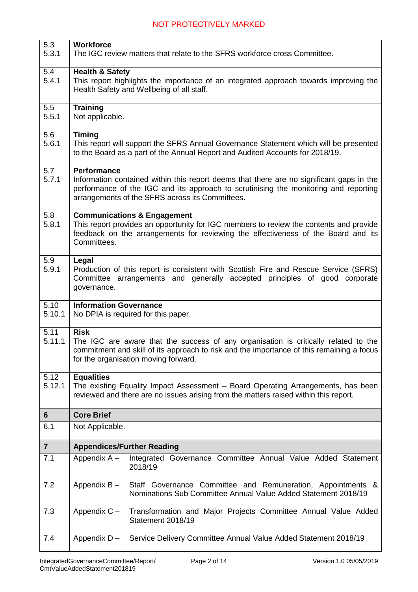| 5.3                     | <b>Workforce</b>                                                                                                                                                                 |  |  |  |  |  |  |
|-------------------------|----------------------------------------------------------------------------------------------------------------------------------------------------------------------------------|--|--|--|--|--|--|
| 5.3.1                   | The IGC review matters that relate to the SFRS workforce cross Committee.                                                                                                        |  |  |  |  |  |  |
| 5.4                     | <b>Health &amp; Safety</b>                                                                                                                                                       |  |  |  |  |  |  |
| 5.4.1                   | This report highlights the importance of an integrated approach towards improving the<br>Health Safety and Wellbeing of all staff.                                               |  |  |  |  |  |  |
|                         |                                                                                                                                                                                  |  |  |  |  |  |  |
| 5.5                     | <b>Training</b>                                                                                                                                                                  |  |  |  |  |  |  |
| 5.5.1                   | Not applicable.                                                                                                                                                                  |  |  |  |  |  |  |
| 5.6                     | <b>Timing</b>                                                                                                                                                                    |  |  |  |  |  |  |
| 5.6.1                   | This report will support the SFRS Annual Governance Statement which will be presented                                                                                            |  |  |  |  |  |  |
|                         | to the Board as a part of the Annual Report and Audited Accounts for 2018/19.                                                                                                    |  |  |  |  |  |  |
| 5.7                     | <b>Performance</b>                                                                                                                                                               |  |  |  |  |  |  |
| 5.7.1                   | Information contained within this report deems that there are no significant gaps in the<br>performance of the IGC and its approach to scrutinising the monitoring and reporting |  |  |  |  |  |  |
|                         | arrangements of the SFRS across its Committees.                                                                                                                                  |  |  |  |  |  |  |
| 5.8                     |                                                                                                                                                                                  |  |  |  |  |  |  |
| 5.8.1                   | <b>Communications &amp; Engagement</b><br>This report provides an opportunity for IGC members to review the contents and provide                                                 |  |  |  |  |  |  |
|                         | feedback on the arrangements for reviewing the effectiveness of the Board and its                                                                                                |  |  |  |  |  |  |
|                         | Committees.                                                                                                                                                                      |  |  |  |  |  |  |
| 5.9                     | Legal                                                                                                                                                                            |  |  |  |  |  |  |
| 5.9.1                   | Production of this report is consistent with Scottish Fire and Rescue Service (SFRS)                                                                                             |  |  |  |  |  |  |
|                         | Committee arrangements and generally accepted principles of good corporate<br>governance.                                                                                        |  |  |  |  |  |  |
|                         |                                                                                                                                                                                  |  |  |  |  |  |  |
| 5.10<br>5.10.1          | <b>Information Governance</b><br>No DPIA is required for this paper.                                                                                                             |  |  |  |  |  |  |
|                         |                                                                                                                                                                                  |  |  |  |  |  |  |
| 5.11                    | <b>Risk</b>                                                                                                                                                                      |  |  |  |  |  |  |
| 5.11.1                  | The IGC are aware that the success of any organisation is critically related to the<br>commitment and skill of its approach to risk and the importance of this remaining a focus |  |  |  |  |  |  |
|                         | for the organisation moving forward.                                                                                                                                             |  |  |  |  |  |  |
| 5.12                    | <b>Equalities</b>                                                                                                                                                                |  |  |  |  |  |  |
| 5.12.1                  | The existing Equality Impact Assessment - Board Operating Arrangements, has been                                                                                                 |  |  |  |  |  |  |
|                         | reviewed and there are no issues arising from the matters raised within this report.                                                                                             |  |  |  |  |  |  |
| $6\phantom{1}$          | <b>Core Brief</b>                                                                                                                                                                |  |  |  |  |  |  |
| 6.1                     | Not Applicable.                                                                                                                                                                  |  |  |  |  |  |  |
| $\overline{\mathbf{7}}$ | <b>Appendices/Further Reading</b>                                                                                                                                                |  |  |  |  |  |  |
| 7.1                     | Appendix A -<br>Integrated Governance Committee Annual Value Added Statement                                                                                                     |  |  |  |  |  |  |
|                         | 2018/19                                                                                                                                                                          |  |  |  |  |  |  |
| 7.2                     | Appendix B -<br>Staff Governance Committee and Remuneration, Appointments &                                                                                                      |  |  |  |  |  |  |
|                         | Nominations Sub Committee Annual Value Added Statement 2018/19                                                                                                                   |  |  |  |  |  |  |
| 7.3                     | Transformation and Major Projects Committee Annual Value Added<br>Appendix $C -$                                                                                                 |  |  |  |  |  |  |
|                         | Statement 2018/19                                                                                                                                                                |  |  |  |  |  |  |
|                         |                                                                                                                                                                                  |  |  |  |  |  |  |
| 7.4                     | Appendix $D -$<br>Service Delivery Committee Annual Value Added Statement 2018/19                                                                                                |  |  |  |  |  |  |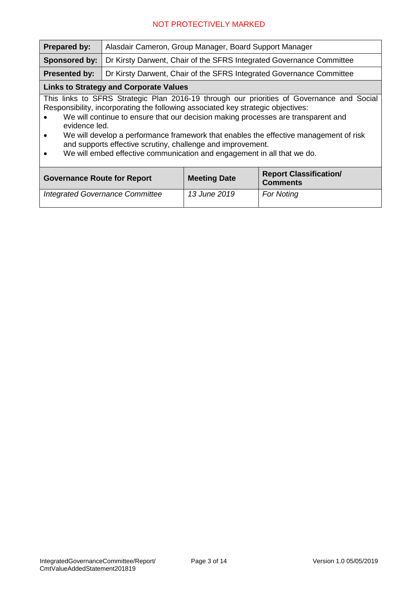| <b>Prepared by:</b>                                                                                                                                                                                                                                                                                                                                                                                                                                                                                                                 | Alasdair Cameron, Group Manager, Board Support Manager               |                     |                                                  |  |  |  |  |  |  |  |
|-------------------------------------------------------------------------------------------------------------------------------------------------------------------------------------------------------------------------------------------------------------------------------------------------------------------------------------------------------------------------------------------------------------------------------------------------------------------------------------------------------------------------------------|----------------------------------------------------------------------|---------------------|--------------------------------------------------|--|--|--|--|--|--|--|
| Sponsored by:                                                                                                                                                                                                                                                                                                                                                                                                                                                                                                                       | Dr Kirsty Darwent, Chair of the SFRS Integrated Governance Committee |                     |                                                  |  |  |  |  |  |  |  |
| <b>Presented by:</b>                                                                                                                                                                                                                                                                                                                                                                                                                                                                                                                | Dr Kirsty Darwent, Chair of the SFRS Integrated Governance Committee |                     |                                                  |  |  |  |  |  |  |  |
| <b>Links to Strategy and Corporate Values</b>                                                                                                                                                                                                                                                                                                                                                                                                                                                                                       |                                                                      |                     |                                                  |  |  |  |  |  |  |  |
| This links to SFRS Strategic Plan 2016-19 through our priorities of Governance and Social<br>Responsibility, incorporating the following associated key strategic objectives:<br>We will continue to ensure that our decision making processes are transparent and<br>evidence led.<br>We will develop a performance framework that enables the effective management of risk<br>$\bullet$<br>and supports effective scrutiny, challenge and improvement.<br>We will embed effective communication and engagement in all that we do. |                                                                      |                     |                                                  |  |  |  |  |  |  |  |
| <b>Governance Route for Report</b>                                                                                                                                                                                                                                                                                                                                                                                                                                                                                                  |                                                                      | <b>Meeting Date</b> | <b>Report Classification/</b><br><b>Comments</b> |  |  |  |  |  |  |  |
|                                                                                                                                                                                                                                                                                                                                                                                                                                                                                                                                     | <b>Integrated Governance Committee</b>                               | 13 June 2019        | <b>For Noting</b>                                |  |  |  |  |  |  |  |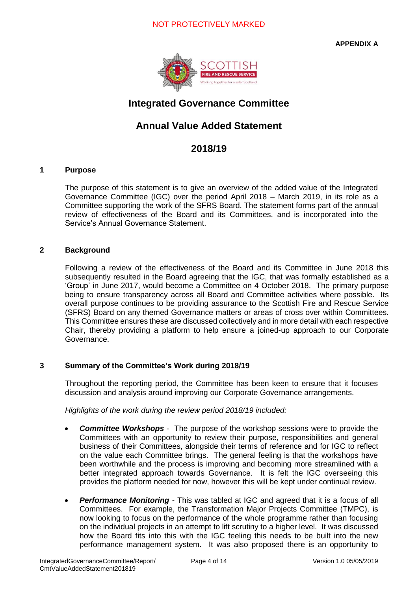**APPENDIX A**



## **Integrated Governance Committee**

### **Annual Value Added Statement**

### **2018/19**

#### **1 Purpose**

The purpose of this statement is to give an overview of the added value of the Integrated Governance Committee (IGC) over the period April 2018 – March 2019, in its role as a Committee supporting the work of the SFRS Board. The statement forms part of the annual review of effectiveness of the Board and its Committees, and is incorporated into the Service's Annual Governance Statement.

### **2 Background**

Following a review of the effectiveness of the Board and its Committee in June 2018 this subsequently resulted in the Board agreeing that the IGC, that was formally established as a 'Group' in June 2017, would become a Committee on 4 October 2018. The primary purpose being to ensure transparency across all Board and Committee activities where possible. Its overall purpose continues to be providing assurance to the Scottish Fire and Rescue Service (SFRS) Board on any themed Governance matters or areas of cross over within Committees. This Committee ensures these are discussed collectively and in more detail with each respective Chair, thereby providing a platform to help ensure a joined-up approach to our Corporate Governance.

### **3 Summary of the Committee's Work during 2018/19**

Throughout the reporting period, the Committee has been keen to ensure that it focuses discussion and analysis around improving our Corporate Governance arrangements.

*Highlights of the work during the review period 2018/19 included:*

- *Committee Workshops* The purpose of the workshop sessions were to provide the Committees with an opportunity to review their purpose, responsibilities and general business of their Committees, alongside their terms of reference and for IGC to reflect on the value each Committee brings. The general feeling is that the workshops have been worthwhile and the process is improving and becoming more streamlined with a better integrated approach towards Governance. It is felt the IGC overseeing this provides the platform needed for now, however this will be kept under continual review.
- *Performance Monitoring* This was tabled at IGC and agreed that it is a focus of all Committees. For example, the Transformation Major Projects Committee (TMPC), is now looking to focus on the performance of the whole programme rather than focusing on the individual projects in an attempt to lift scrutiny to a higher level. It was discussed how the Board fits into this with the IGC feeling this needs to be built into the new performance management system. It was also proposed there is an opportunity to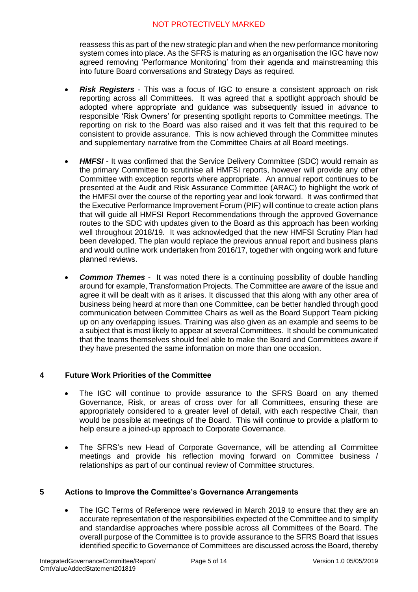reassess this as part of the new strategic plan and when the new performance monitoring system comes into place. As the SFRS is maturing as an organisation the IGC have now agreed removing 'Performance Monitoring' from their agenda and mainstreaming this into future Board conversations and Strategy Days as required.

- **Risk Registers** This was a focus of IGC to ensure a consistent approach on risk reporting across all Committees. It was agreed that a spotlight approach should be adopted where appropriate and guidance was subsequently issued in advance to responsible 'Risk Owners' for presenting spotlight reports to Committee meetings. The reporting on risk to the Board was also raised and it was felt that this required to be consistent to provide assurance. This is now achieved through the Committee minutes and supplementary narrative from the Committee Chairs at all Board meetings.
- **HMFSI** It was confirmed that the Service Delivery Committee (SDC) would remain as the primary Committee to scrutinise all HMFSI reports, however will provide any other Committee with exception reports where appropriate. An annual report continues to be presented at the Audit and Risk Assurance Committee (ARAC) to highlight the work of the HMFSI over the course of the reporting year and look forward. It was confirmed that the Executive Performance Improvement Forum (PIF) will continue to create action plans that will guide all HMFSI Report Recommendations through the approved Governance routes to the SDC with updates given to the Board as this approach has been working well throughout 2018/19. It was acknowledged that the new HMFSI Scrutiny Plan had been developed. The plan would replace the previous annual report and business plans and would outline work undertaken from 2016/17, together with ongoing work and future planned reviews.
- *Common Themes* It was noted there is a continuing possibility of double handling around for example, Transformation Projects. The Committee are aware of the issue and agree it will be dealt with as it arises. It discussed that this along with any other area of business being heard at more than one Committee, can be better handled through good communication between Committee Chairs as well as the Board Support Team picking up on any overlapping issues. Training was also given as an example and seems to be a subject that is most likely to appear at several Committees. It should be communicated that the teams themselves should feel able to make the Board and Committees aware if they have presented the same information on more than one occasion.

### **4 Future Work Priorities of the Committee**

- The IGC will continue to provide assurance to the SFRS Board on any themed Governance, Risk, or areas of cross over for all Committees, ensuring these are appropriately considered to a greater level of detail, with each respective Chair, than would be possible at meetings of the Board. This will continue to provide a platform to help ensure a joined-up approach to Corporate Governance.
- The SFRS's new Head of Corporate Governance, will be attending all Committee meetings and provide his reflection moving forward on Committee business / relationships as part of our continual review of Committee structures.

### **5 Actions to Improve the Committee's Governance Arrangements**

The IGC Terms of Reference were reviewed in March 2019 to ensure that they are an accurate representation of the responsibilities expected of the Committee and to simplify and standardise approaches where possible across all Committees of the Board. The overall purpose of the Committee is to provide assurance to the SFRS Board that issues identified specific to Governance of Committees are discussed across the Board, thereby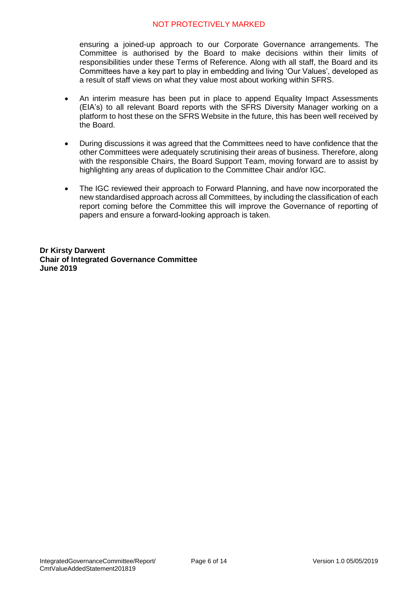ensuring a joined-up approach to our Corporate Governance arrangements. The Committee is authorised by the Board to make decisions within their limits of responsibilities under these Terms of Reference. Along with all staff, the Board and its Committees have a key part to play in embedding and living 'Our Values', developed as a result of staff views on what they value most about working within SFRS.

- An interim measure has been put in place to append Equality Impact Assessments (EIA's) to all relevant Board reports with the SFRS Diversity Manager working on a platform to host these on the SFRS Website in the future, this has been well received by the Board.
- During discussions it was agreed that the Committees need to have confidence that the other Committees were adequately scrutinising their areas of business. Therefore, along with the responsible Chairs, the Board Support Team, moving forward are to assist by highlighting any areas of duplication to the Committee Chair and/or IGC.
- The IGC reviewed their approach to Forward Planning, and have now incorporated the new standardised approach across all Committees, by including the classification of each report coming before the Committee this will improve the Governance of reporting of papers and ensure a forward-looking approach is taken.

**Dr Kirsty Darwent Chair of Integrated Governance Committee June 2019**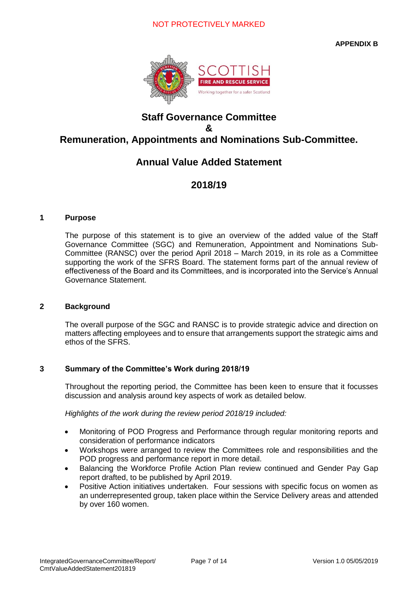

### **Staff Governance Committee & Remuneration, Appointments and Nominations Sub-Committee.**

### **Annual Value Added Statement**

### **2018/19**

### **1 Purpose**

The purpose of this statement is to give an overview of the added value of the Staff Governance Committee (SGC) and Remuneration, Appointment and Nominations Sub-Committee (RANSC) over the period April 2018 – March 2019, in its role as a Committee supporting the work of the SFRS Board. The statement forms part of the annual review of effectiveness of the Board and its Committees, and is incorporated into the Service's Annual Governance Statement.

### **2 Background**

The overall purpose of the SGC and RANSC is to provide strategic advice and direction on matters affecting employees and to ensure that arrangements support the strategic aims and ethos of the SFRS.

#### **3 Summary of the Committee's Work during 2018/19**

Throughout the reporting period, the Committee has been keen to ensure that it focusses discussion and analysis around key aspects of work as detailed below.

*Highlights of the work during the review period 2018/19 included:*

- Monitoring of POD Progress and Performance through regular monitoring reports and consideration of performance indicators
- Workshops were arranged to review the Committees role and responsibilities and the POD progress and performance report in more detail.
- Balancing the Workforce Profile Action Plan review continued and Gender Pay Gap report drafted, to be published by April 2019.
- Positive Action initiatives undertaken. Four sessions with specific focus on women as an underrepresented group, taken place within the Service Delivery areas and attended by over 160 women.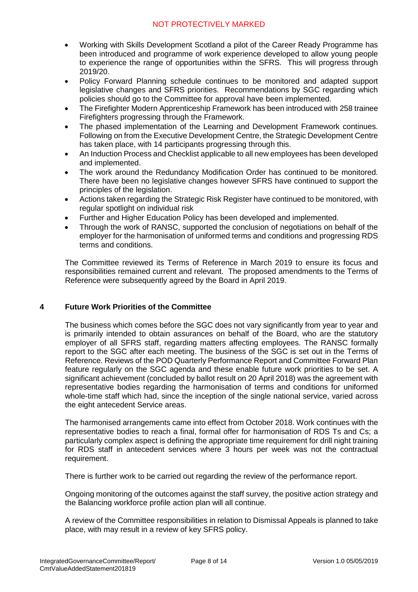- Working with Skills Development Scotland a pilot of the Career Ready Programme has been introduced and programme of work experience developed to allow young people to experience the range of opportunities within the SFRS. This will progress through 2019/20.
- Policy Forward Planning schedule continues to be monitored and adapted support legislative changes and SFRS priorities. Recommendations by SGC regarding which policies should go to the Committee for approval have been implemented.
- The Firefighter Modern Apprenticeship Framework has been introduced with 258 trainee Firefighters progressing through the Framework.
- The phased implementation of the Learning and Development Framework continues. Following on from the Executive Development Centre, the Strategic Development Centre has taken place, with 14 participants progressing through this.
- An Induction Process and Checklist applicable to all new employees has been developed and implemented.
- The work around the Redundancy Modification Order has continued to be monitored. There have been no legislative changes however SFRS have continued to support the principles of the legislation.
- Actions taken regarding the Strategic Risk Register have continued to be monitored, with regular spotlight on individual risk
- Further and Higher Education Policy has been developed and implemented.
- Through the work of RANSC, supported the conclusion of negotiations on behalf of the employer for the harmonisation of uniformed terms and conditions and progressing RDS terms and conditions.

The Committee reviewed its Terms of Reference in March 2019 to ensure its focus and responsibilities remained current and relevant. The proposed amendments to the Terms of Reference were subsequently agreed by the Board in April 2019.

### **4 Future Work Priorities of the Committee**

The business which comes before the SGC does not vary significantly from year to year and is primarily intended to obtain assurances on behalf of the Board, who are the statutory employer of all SFRS staff, regarding matters affecting employees. The RANSC formally report to the SGC after each meeting. The business of the SGC is set out in the Terms of Reference. Reviews of the POD Quarterly Performance Report and Committee Forward Plan feature regularly on the SGC agenda and these enable future work priorities to be set. A significant achievement (concluded by ballot result on 20 April 2018) was the agreement with representative bodies regarding the harmonisation of terms and conditions for uniformed whole-time staff which had, since the inception of the single national service, varied across the eight antecedent Service areas.

The harmonised arrangements came into effect from October 2018. Work continues with the representative bodies to reach a final, formal offer for harmonisation of RDS Ts and Cs; a particularly complex aspect is defining the appropriate time requirement for drill night training for RDS staff in antecedent services where 3 hours per week was not the contractual requirement.

There is further work to be carried out regarding the review of the performance report.

Ongoing monitoring of the outcomes against the staff survey, the positive action strategy and the Balancing workforce profile action plan will all continue.

A review of the Committee responsibilities in relation to Dismissal Appeals is planned to take place, with may result in a review of key SFRS policy.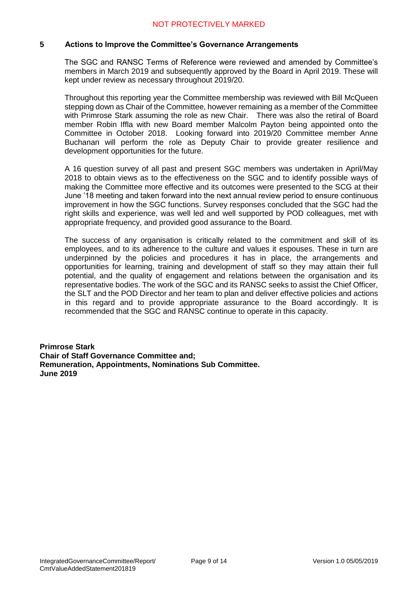### **5 Actions to Improve the Committee's Governance Arrangements**

The SGC and RANSC Terms of Reference were reviewed and amended by Committee's members in March 2019 and subsequently approved by the Board in April 2019. These will kept under review as necessary throughout 2019/20.

Throughout this reporting year the Committee membership was reviewed with Bill McQueen stepping down as Chair of the Committee, however remaining as a member of the Committee with Primrose Stark assuming the role as new Chair. There was also the retiral of Board member Robin Iffla with new Board member Malcolm Payton being appointed onto the Committee in October 2018. Looking forward into 2019/20 Committee member Anne Buchanan will perform the role as Deputy Chair to provide greater resilience and development opportunities for the future.

A 16 question survey of all past and present SGC members was undertaken in April/May 2018 to obtain views as to the effectiveness on the SGC and to identify possible ways of making the Committee more effective and its outcomes were presented to the SCG at their June '18 meeting and taken forward into the next annual review period to ensure continuous improvement in how the SGC functions. Survey responses concluded that the SGC had the right skills and experience, was well led and well supported by POD colleagues, met with appropriate frequency, and provided good assurance to the Board.

The success of any organisation is critically related to the commitment and skill of its employees, and to its adherence to the culture and values it espouses. These in turn are underpinned by the policies and procedures it has in place, the arrangements and opportunities for learning, training and development of staff so they may attain their full potential, and the quality of engagement and relations between the organisation and its representative bodies. The work of the SGC and its RANSC seeks to assist the Chief Officer, the SLT and the POD Director and her team to plan and deliver effective policies and actions in this regard and to provide appropriate assurance to the Board accordingly. It is recommended that the SGC and RANSC continue to operate in this capacity.

**Primrose Stark Chair of Staff Governance Committee and; Remuneration, Appointments, Nominations Sub Committee. June 2019**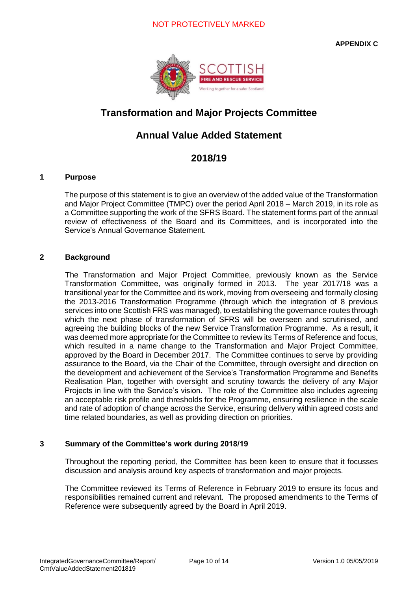**APPENDIX C**



## **Transformation and Major Projects Committee**

## **Annual Value Added Statement**

### **2018/19**

### **1 Purpose**

The purpose of this statement is to give an overview of the added value of the Transformation and Major Project Committee (TMPC) over the period April 2018 – March 2019, in its role as a Committee supporting the work of the SFRS Board. The statement forms part of the annual review of effectiveness of the Board and its Committees, and is incorporated into the Service's Annual Governance Statement.

### **2 Background**

The Transformation and Major Project Committee, previously known as the Service Transformation Committee, was originally formed in 2013. The year 2017/18 was a transitional year for the Committee and its work, moving from overseeing and formally closing the 2013-2016 Transformation Programme (through which the integration of 8 previous services into one Scottish FRS was managed), to establishing the governance routes through which the next phase of transformation of SFRS will be overseen and scrutinised, and agreeing the building blocks of the new Service Transformation Programme. As a result, it was deemed more appropriate for the Committee to review its Terms of Reference and focus, which resulted in a name change to the Transformation and Major Project Committee, approved by the Board in December 2017. The Committee continues to serve by providing assurance to the Board, via the Chair of the Committee, through oversight and direction on the development and achievement of the Service's Transformation Programme and Benefits Realisation Plan, together with oversight and scrutiny towards the delivery of any Major Projects in line with the Service's vision. The role of the Committee also includes agreeing an acceptable risk profile and thresholds for the Programme, ensuring resilience in the scale and rate of adoption of change across the Service, ensuring delivery within agreed costs and time related boundaries, as well as providing direction on priorities.

### **3 Summary of the Committee's work during 2018/19**

Throughout the reporting period, the Committee has been keen to ensure that it focusses discussion and analysis around key aspects of transformation and major projects.

The Committee reviewed its Terms of Reference in February 2019 to ensure its focus and responsibilities remained current and relevant. The proposed amendments to the Terms of Reference were subsequently agreed by the Board in April 2019.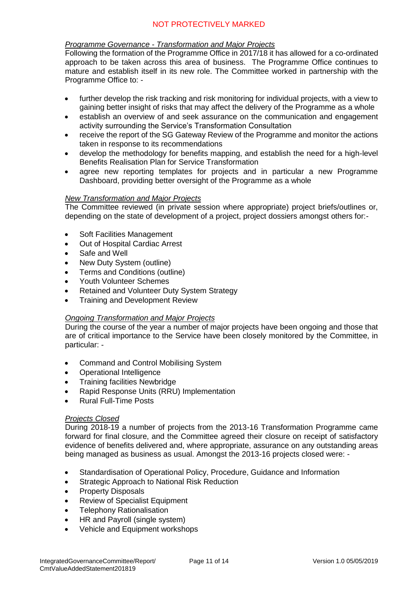### *Programme Governance - Transformation and Major Projects*

Following the formation of the Programme Office in 2017/18 it has allowed for a co-ordinated approach to be taken across this area of business. The Programme Office continues to mature and establish itself in its new role. The Committee worked in partnership with the Programme Office to: -

- further develop the risk tracking and risk monitoring for individual projects, with a view to gaining better insight of risks that may affect the delivery of the Programme as a whole
- establish an overview of and seek assurance on the communication and engagement activity surrounding the Service's Transformation Consultation
- receive the report of the SG Gateway Review of the Programme and monitor the actions taken in response to its recommendations
- develop the methodology for benefits mapping, and establish the need for a high-level Benefits Realisation Plan for Service Transformation
- agree new reporting templates for projects and in particular a new Programme Dashboard, providing better oversight of the Programme as a whole

### *New Transformation and Major Projects*

The Committee reviewed (in private session where appropriate) project briefs/outlines or, depending on the state of development of a project, project dossiers amongst others for:-

- Soft Facilities Management
- Out of Hospital Cardiac Arrest
- Safe and Well
- New Duty System (outline)
- Terms and Conditions (outline)
- Youth Volunteer Schemes
- Retained and Volunteer Duty System Strategy
- Training and Development Review

#### *Ongoing Transformation and Major Projects*

During the course of the year a number of major projects have been ongoing and those that are of critical importance to the Service have been closely monitored by the Committee, in particular: -

- Command and Control Mobilising System
- Operational Intelligence
- Training facilities Newbridge
- Rapid Response Units (RRU) Implementation
- Rural Full-Time Posts

#### *Projects Closed*

During 2018-19 a number of projects from the 2013-16 Transformation Programme came forward for final closure, and the Committee agreed their closure on receipt of satisfactory evidence of benefits delivered and, where appropriate, assurance on any outstanding areas being managed as business as usual. Amongst the 2013-16 projects closed were: -

- Standardisation of Operational Policy, Procedure, Guidance and Information
- **Strategic Approach to National Risk Reduction**
- Property Disposals
- Review of Specialist Equipment
- Telephony Rationalisation
- HR and Payroll (single system)
- Vehicle and Equipment workshops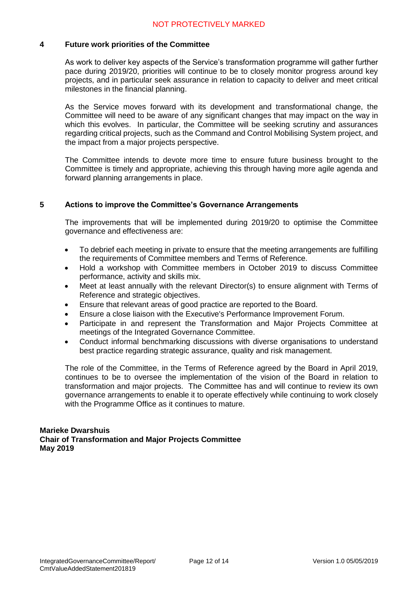#### **4 Future work priorities of the Committee**

As work to deliver key aspects of the Service's transformation programme will gather further pace during 2019/20, priorities will continue to be to closely monitor progress around key projects, and in particular seek assurance in relation to capacity to deliver and meet critical milestones in the financial planning.

As the Service moves forward with its development and transformational change, the Committee will need to be aware of any significant changes that may impact on the way in which this evolves. In particular, the Committee will be seeking scrutiny and assurances regarding critical projects, such as the Command and Control Mobilising System project, and the impact from a major projects perspective.

The Committee intends to devote more time to ensure future business brought to the Committee is timely and appropriate, achieving this through having more agile agenda and forward planning arrangements in place.

### **5 Actions to improve the Committee's Governance Arrangements**

The improvements that will be implemented during 2019/20 to optimise the Committee governance and effectiveness are:

- To debrief each meeting in private to ensure that the meeting arrangements are fulfilling the requirements of Committee members and Terms of Reference.
- Hold a workshop with Committee members in October 2019 to discuss Committee performance, activity and skills mix.
- Meet at least annually with the relevant Director(s) to ensure alignment with Terms of Reference and strategic objectives.
- Ensure that relevant areas of good practice are reported to the Board.
- Ensure a close liaison with the Executive's Performance Improvement Forum.
- Participate in and represent the Transformation and Major Projects Committee at meetings of the Integrated Governance Committee.
- Conduct informal benchmarking discussions with diverse organisations to understand best practice regarding strategic assurance, quality and risk management.

The role of the Committee, in the Terms of Reference agreed by the Board in April 2019, continues to be to oversee the implementation of the vision of the Board in relation to transformation and major projects. The Committee has and will continue to review its own governance arrangements to enable it to operate effectively while continuing to work closely with the Programme Office as it continues to mature.

### **Marieke Dwarshuis Chair of Transformation and Major Projects Committee May 2019**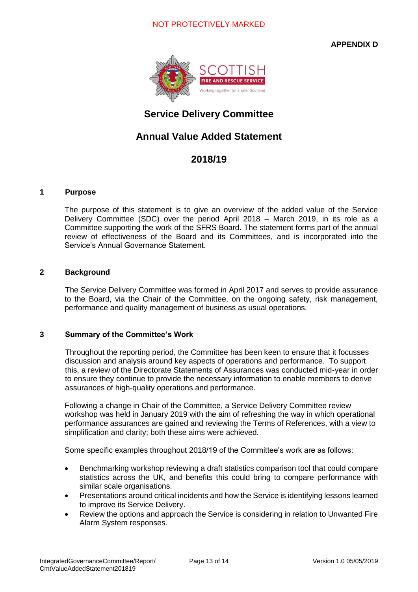**APPENDIX D**



## **Service Delivery Committee**

## **Annual Value Added Statement**

### **2018/19**

#### **1 Purpose**

The purpose of this statement is to give an overview of the added value of the Service Delivery Committee (SDC) over the period April 2018 – March 2019, in its role as a Committee supporting the work of the SFRS Board. The statement forms part of the annual review of effectiveness of the Board and its Committees, and is incorporated into the Service's Annual Governance Statement.

### **2 Background**

The Service Delivery Committee was formed in April 2017 and serves to provide assurance to the Board, via the Chair of the Committee, on the ongoing safety, risk management, performance and quality management of business as usual operations.

### **3 Summary of the Committee's Work**

Throughout the reporting period, the Committee has been keen to ensure that it focusses discussion and analysis around key aspects of operations and performance. To support this, a review of the Directorate Statements of Assurances was conducted mid-year in order to ensure they continue to provide the necessary information to enable members to derive assurances of high-quality operations and performance.

Following a change in Chair of the Committee, a Service Delivery Committee review workshop was held in January 2019 with the aim of refreshing the way in which operational performance assurances are gained and reviewing the Terms of References, with a view to simplification and clarity; both these aims were achieved.

Some specific examples throughout 2018/19 of the Committee's work are as follows:

- Benchmarking workshop reviewing a draft statistics comparison tool that could compare statistics across the UK, and benefits this could bring to compare performance with similar scale organisations.
- Presentations around critical incidents and how the Service is identifying lessons learned to improve its Service Delivery.
- Review the options and approach the Service is considering in relation to Unwanted Fire Alarm System responses.